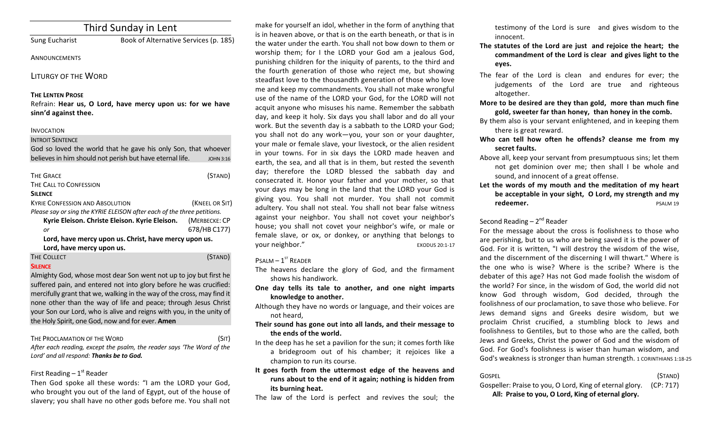# Third Sunday in Lent

Sung Eucharist Book of Alternative Services (p. 185)

#### **ANNOUNCEMENTS**

### LITURGY OF THE WORD

#### **THE LENTEN PROSE**

Refrain: Hear us, O Lord, have mercy upon us: for we have **sinn'd against thee.**

#### INVOCATION

# INTROIT CENTENCE

| <u>ININULLENTRIC</u>                                                    |                  |
|-------------------------------------------------------------------------|------------------|
| God so loved the world that he gave his only Son, that whoever          |                  |
| believes in him should not perish but have eternal life.                | <b>JOHN 3:16</b> |
|                                                                         |                  |
| <b>THE GRACE</b>                                                        | (STAND)          |
| THE CALL TO CONFESSION                                                  |                  |
| <b>SILENCE</b>                                                          |                  |
| <b>KYRIE CONFESSION AND ABSOLUTION</b>                                  | (KNEEL OR SIT)   |
| Please say or sing the KYRIE ELEISON after each of the three petitions. |                  |
| Kyrie Eleison. Christe Eleison. Kyrie Eleison.                          | (MERBECKE: CP    |
| or                                                                      | 678/HB C177)     |
| Lord, have mercy upon us. Christ, have mercy upon us.                   |                  |
| Lord, have mercy upon us.                                               |                  |
| <b>THE COLLECT</b>                                                      | (STAN            |
|                                                                         |                  |

#### **SILENCE**

Almighty God, whose most dear Son went not up to joy but first he suffered pain, and entered not into glory before he was crucified: mercifully grant that we, walking in the way of the cross, may find it none other than the way of life and peace; through Jesus Christ your Son our Lord, who is alive and reigns with you, in the unity of the Holy Spirit, one God, now and for ever. **Amen** 

#### THE PROCLAMATION OF THE WORD (SIT)

After each reading, except the psalm, the reader says 'The Word of the Lord' and all respond: Thanks be to God.

# First Reading  $-1<sup>st</sup>$  Reader

Then God spoke all these words: "I am the LORD your God, who brought you out of the land of Egypt, out of the house of slavery; you shall have no other gods before me. You shall not make for yourself an idol, whether in the form of anything that is in heaven above, or that is on the earth beneath, or that is in the water under the earth. You shall not bow down to them or worship them; for I the LORD your God am a jealous God, punishing children for the iniquity of parents, to the third and the fourth generation of those who reject me, but showing steadfast love to the thousandth generation of those who love me and keep my commandments. You shall not make wrongful use of the name of the LORD your God, for the LORD will not acquit anyone who misuses his name. Remember the sabbath day, and keep it holy. Six days you shall labor and do all your work. But the seventh day is a sabbath to the LORD your God; you shall not do any work-you, your son or your daughter, your male or female slave, your livestock, or the alien resident in your towns. For in six days the LORD made heaven and earth, the sea, and all that is in them, but rested the seventh day; therefore the LORD blessed the sabbath day and consecrated it. Honor your father and your mother, so that your days may be long in the land that the LORD your God is giving you. You shall not murder. You shall not commit adultery. You shall not steal. You shall not bear false witness against your neighbor. You shall not covet your neighbor's house; you shall not covet your neighbor's wife, or male or female slave, or ox, or donkey, or anything that belongs to your neighbor." The contract of the second second second second second second second second second second second second second second second second second second second second second second second second second second seco

### $P$ SALM  $-1$ <sup>ST</sup> READER

- The heavens declare the glory of God, and the firmament shows his handiwork.
- One day tells its tale to another, and one night imparts knowledge to another.
- Although they have no words or language, and their voices are not heard.
- Their sound has gone out into all lands, and their message to the ends of the world.
- In the deep has he set a pavilion for the sun; it comes forth like a bridegroom out of his chamber; it rejoices like a champion to run its course.
- It goes forth from the uttermost edge of the heavens and runs about to the end of it again; nothing is hidden from **its burning heat.**
- The law of the Lord is perfect and revives the soul; the

testimony of the Lord is sure and gives wisdom to the innocent.

- The statutes of the Lord are just and rejoice the heart; the commandment of the Lord is clear and gives light to the **eyes.**
- The fear of the Lord is clean and endures for ever; the judgements of the Lord are true and righteous altogether.
- **More to be desired are they than gold, more than much fine** gold, sweeter far than honey, than honey in the comb.
- By them also is your servant enlightened, and in keeping them there is great reward.
- Who can tell how often he offends? cleanse me from my secret faults.
- Above all, keep your servant from presumptuous sins; let them not get dominion over me; then shall I be whole and sound, and innocent of a great offense.
- Let the words of my mouth and the meditation of my heart be acceptable in your sight, O Lord, my strength and my **redeemer.** PSALM 19

# Second Reading  $-2^{nd}$  Reader

For the message about the cross is foolishness to those who are perishing, but to us who are being saved it is the power of God. For it is written, "I will destroy the wisdom of the wise, and the discernment of the discerning I will thwart." Where is the one who is wise? Where is the scribe? Where is the debater of this age? Has not God made foolish the wisdom of the world? For since, in the wisdom of God, the world did not know God through wisdom, God decided, through the foolishness of our proclamation, to save those who believe. For Jews demand signs and Greeks desire wisdom, but we proclaim Christ crucified, a stumbling block to Jews and foolishness to Gentiles, but to those who are the called, both Jews and Greeks, Christ the power of God and the wisdom of God. For God's foolishness is wiser than human wisdom, and God's weakness is stronger than human strength. 1 CORINTHIANS 1:18-25

| <b>GOSPEL</b>                                            | (STAND)   |
|----------------------------------------------------------|-----------|
| Gospeller: Praise to you, O Lord, King of eternal glory. | (CP: 717) |
| All: Praise to you, O Lord, King of eternal glory.       |           |